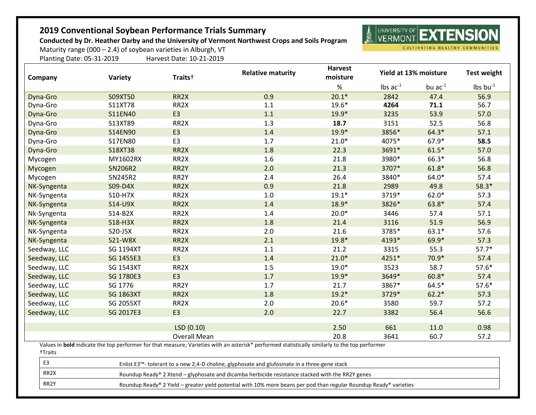## **2019 Conventional Soybean Performance Trials Summary**

**Conducted by Dr. Heather Darby and the University of Vermont Northwest Crops and Soils Program**

**NOW YOU FIND OF EXTENSIO** 夐

CULTIVATING HEALTHY COMMUNITIES

Maturity range (000 – 2.4) of soybean varieties in Alburgh, VT Planting Date: 05-31-2019 Harvest Date: 10-21-2019

| Company      | Variety          | Traits <sup>+</sup> | <b>Relative maturity</b>                                                                                                                       | <b>Harvest</b><br>moisture | Yield at 13% moisture         |              | <b>Test weight</b>            |
|--------------|------------------|---------------------|------------------------------------------------------------------------------------------------------------------------------------------------|----------------------------|-------------------------------|--------------|-------------------------------|
|              |                  |                     |                                                                                                                                                | $\%$                       | $\text{lbs}$ ac <sup>-1</sup> | bu $ac^{-1}$ | $\text{lbs}$ bu <sup>-1</sup> |
| Dyna-Gro     | S09XT50          | RR <sub>2</sub> X   | 0.9                                                                                                                                            | $20.1*$                    | 2842                          | 47.4         | 56.9                          |
| Dyna-Gro     | S11XT78          | RR <sub>2</sub> X   | 1.1                                                                                                                                            | $19.6*$                    | 4264                          | 71.1         | 56.7                          |
| Dyna-Gro     | S11EN40          | E <sub>3</sub>      | 1.1                                                                                                                                            | $19.9*$                    | 3235                          | 53.9         | 57.0                          |
| Dyna-Gro     | S13XT89          | RR <sub>2</sub> X   | 1.3                                                                                                                                            | 18.7                       | 3151                          | 52.5         | 56.8                          |
| Dyna-Gro     | S14EN90          | E <sub>3</sub>      | 1.4                                                                                                                                            | $19.9*$                    | 3856*                         | $64.3*$      | 57.1                          |
| Dyna-Gro     | S17EN80          | E <sub>3</sub>      | 1.7                                                                                                                                            | $21.0*$                    | 4075*                         | 67.9*        | 58.5                          |
| Dyna-Gro     | S18XT38          | RR <sub>2</sub> X   | 1.8                                                                                                                                            | 22.3                       | 3691*                         | $61.5*$      | 57.0                          |
| Mycogen      | MY1602RX         | RR <sub>2</sub> X   | 1.6                                                                                                                                            | 21.8                       | 3980*                         | 66.3*        | 56.8                          |
| Mycogen      | 5N206R2          | RR2Y                | 2.0                                                                                                                                            | 21.3                       | 3707*                         | $61.8*$      | 56.8                          |
| Mycogen      | 5N245R2          | RR2Y                | 2.4                                                                                                                                            | 26.4                       | 3840*                         | $64.0*$      | 57.4                          |
| NK-Syngenta  | S09-D4X          | RR <sub>2</sub> X   | 0.9                                                                                                                                            | 21.8                       | 2989                          | 49.8         | $58.3*$                       |
| NK-Syngenta  | S10-H7X          | RR <sub>2</sub> X   | 1.0                                                                                                                                            | $19.1*$                    | 3719*                         | $62.0*$      | 57.3                          |
| NK-Syngenta  | S14-U9X          | RR <sub>2</sub> X   | 1.4                                                                                                                                            | 18.9*                      | 3826*                         | 63.8*        | 57.4                          |
| Nk-Syngenta  | S14-B2X          | RR <sub>2</sub> X   | 1.4                                                                                                                                            | $20.0*$                    | 3446                          | 57.4         | 57.1                          |
| NK-Syngenta  | S18-H3X          | RR <sub>2</sub> X   | 1.8                                                                                                                                            | 21.4                       | 3116                          | 51.9         | 56.9                          |
| NK-Syngenta  | S20-J5X          | RR <sub>2</sub> X   | 2.0                                                                                                                                            | 21.6                       | 3785*                         | $63.1*$      | 57.6                          |
| NK-Syngenta  | S21-W8X          | RR <sub>2</sub> X   | 2.1                                                                                                                                            | $19.8*$                    | 4193*                         | 69.9*        | 57.3                          |
| Seedway, LLC | <b>SG 1194XT</b> | RR2X                | 1.1                                                                                                                                            | 21.2                       | 3315                          | 55.3         | $57.7*$                       |
| Seedway, LLC | SG 1455E3        | E <sub>3</sub>      | 1.4                                                                                                                                            | $21.0*$                    | 4251*                         | $70.9*$      | 57.4                          |
| Seedway, LLC | <b>SG 1543XT</b> | RR2X                | 1.5                                                                                                                                            | $19.0*$                    | 3523                          | 58.7         | $57.6*$                       |
| Seedway, LLC | SG 1780E3        | E <sub>3</sub>      | 1.7                                                                                                                                            | $19.9*$                    | 3649*                         | $60.8*$      | 57.4                          |
| Seedway, LLC | SG 1776          | RR2Y                | 1.7                                                                                                                                            | 21.7                       | 3867*                         | $64.5*$      | $57.6*$                       |
| Seedway, LLC | <b>SG 1863XT</b> | RR <sub>2</sub> X   | 1.8                                                                                                                                            | $19.2*$                    | 3729*                         | $62.2*$      | 57.3                          |
| Seedway, LLC | <b>SG 2055XT</b> | RR <sub>2</sub> X   | 2.0                                                                                                                                            | $20.6*$                    | 3580                          | 59.7         | 57.2                          |
| Seedway, LLC | SG 2017E3        | E <sub>3</sub>      | 2.0                                                                                                                                            | 22.7                       | 3382                          | 56.4         | 56.6                          |
|              |                  | LSD(0.10)           |                                                                                                                                                | 2.50                       | 661                           | 11.0         | 0.98                          |
|              |                  | <b>Overall Mean</b> |                                                                                                                                                | 20.8                       | 3641                          | 60.7         | 57.2                          |
|              |                  |                     | Values in bold indicate the top performer for that measure; Varieties with an asterisk* performed statistically similarly to the top performer |                            |                               |              |                               |

- †Traits
- 

E3 Enlist E3™- tolerant to a new 2,4-D choline, glyphosate and glufosinate in a three-gene stack

RR2X Roundup Ready® 2 Xtend – glyphosate and dicamba herbicide resistance stacked with the RR2Y genes

RR2Y Roundup Ready® 2 Yield – greater yield potential with 10% more beans per pod than regular Roundup Ready® varieties